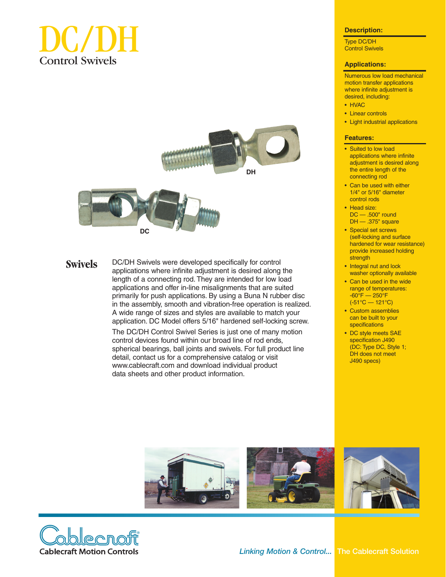





**Swivels**

DC/DH Swivels were developed specifically for control applications where infinite adjustment is desired along the length of a connecting rod. They are intended for low load applications and offer in-line misalignments that are suited primarily for push applications. By using a Buna N rubber disc in the assembly, smooth and vibration-free operation is realized. A wide range of sizes and styles are available to match your application. DC Model offers 5/16" hardened self-locking screw.

The DC/DH Control Swivel Series is just one of many motion control devices found within our broad line of rod ends, spherical bearings, ball joints and swivels. For full product line detail, contact us for a comprehensive catalog or visit www.cablecraft.com and download individual product data sheets and other product information.

#### **Description:**

Type DC/DH Control Swivels

### **Applications:**

Numerous low load mechanical motion transfer applications where infinite adjustment is desired, including:

- HVAC
- Linear controls
- Light industrial applications

#### **Features:**

- Suited to low load applications where infinite adjustment is desired along the entire length of the connecting rod
- Can be used with either 1/4" or 5/16" diameter control rods
- Head size: DC — .500" round DH — .375" square
- Special set screws (self-locking and surface hardened for wear resistance) provide increased holding strength
- Integral nut and lock washer optionally available
- Can be used in the wide range of temperatures:  $-60^\circ$ F – 250 $^\circ$ F (-51°C — 121°C)
- Custom assemblies can be built to your specifications
- DC style meets SAE specification J490 (DC: Type DC, Style 1; DH does not meet J490 specs)